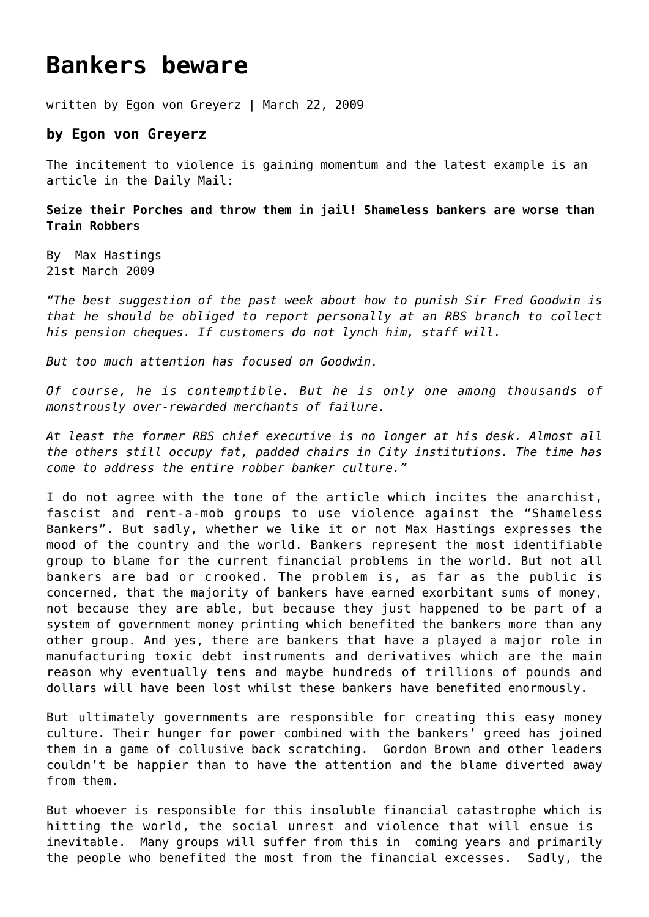## **[Bankers beware](https://goldswitzerland.com/bankers-beware/)**

written by Egon von Greyerz | March 22, 2009

## **by Egon von Greyerz**

The incitement to violence is gaining momentum and the latest example is an article in the Daily Mail:

**Seize their Porches and throw them in jail! Shameless bankers are worse than Train Robbers**

By [Max Hastings](http://www.dailymail.co.uk/home/search.html?s=y&authornamef=Max+Hastings) 21st March 2009

*"The best suggestion of the past week about how to punish Sir Fred Goodwin is that he should be obliged to report personally at an RBS branch to collect his pension cheques. If customers do not lynch him, staff will.*

*But too much attention has focused on Goodwin.*

*Of course, he is contemptible. But he is only one among thousands of monstrously over-rewarded merchants of failure.*

*At least the former RBS chief executive is no longer at his desk. Almost all the others still occupy fat, padded chairs in City institutions. The time has come to address the entire robber banker culture."*

I do not agree with the tone of the article which incites the anarchist, fascist and rent-a-mob groups to use violence against the "Shameless Bankers". But sadly, whether we like it or not Max Hastings expresses the mood of the country and the world. Bankers represent the most identifiable group to blame for the current financial problems in the world. But not all bankers are bad or crooked. The problem is, as far as the public is concerned, that the majority of bankers have earned exorbitant sums of money, not because they are able, but because they just happened to be part of a system of government money printing which benefited the bankers more than any other group. And yes, there are bankers that have a played a major role in manufacturing toxic debt instruments and derivatives which are the main reason why eventually tens and maybe hundreds of trillions of pounds and dollars will have been lost whilst these bankers have benefited enormously.

But ultimately governments are responsible for creating this easy money culture. Their hunger for power combined with the bankers' greed has joined them in a game of collusive back scratching. Gordon Brown and other leaders couldn't be happier than to have the attention and the blame diverted away from them.

But whoever is responsible for this insoluble financial catastrophe which is hitting the world, the social unrest and violence that will ensue is inevitable. Many groups will suffer from this in coming years and primarily the people who benefited the most from the financial excesses. Sadly, the